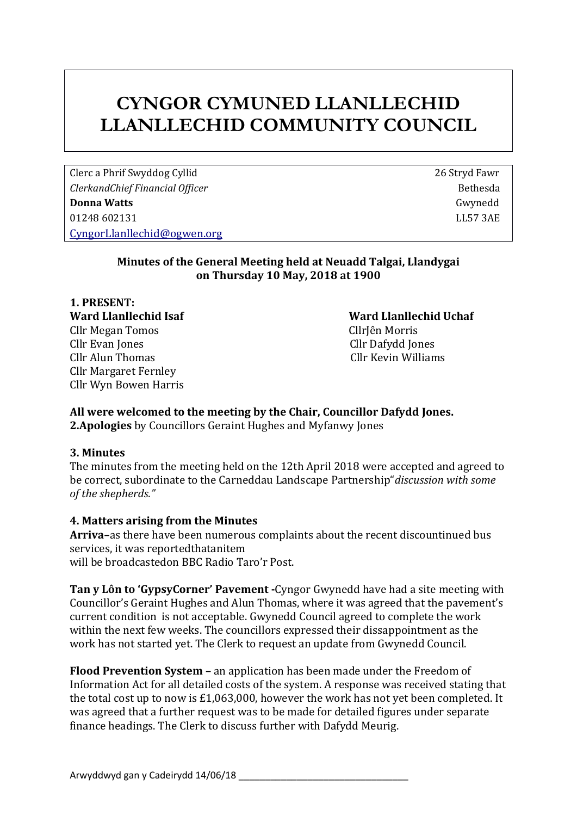# **CYNGOR CYMUNED LLANLLECHID LLANLLECHID COMMUNITY COUNCIL**

Clerc a Phrif Swyddog Cyllid 26 Stryd Fawr **ClerkandChief Financial Officer Bethesda Bethesda Donna Watts** Gwynedd 01248 602131 LL57 3AE [CyngorLlanllechid@ogwen.org](mailto:CyngorLlanllechid@ogwen.org)

#### **Minutes of the General Meeting held at Neuadd Talgai, Llandygai on Thursday 10 May, 2018 at 1900**

**1. PRESENT:** Cllr Megan Tomos CllrJên Morris Cllr Evan Jones Cllr Dafydd Jones Cllr Alun Thomas Cllr Kevin Williams Cllr Margaret Fernley Cllr Wyn Bowen Harris

**Ward Llanllechid Isaf Ward Llanllechid Uchaf** 

## **All were welcomed to the meeting by the Chair, Councillor Dafydd Jones. 2.Apologies** by Councillors Geraint Hughes and Myfanwy Jones

#### **3. Minutes**

The minutes from the meeting held on the 12th April 2018 were accepted and agreed to be correct, subordinate to the Carneddau Landscape Partnership"*discussion with some of the shepherds."*

## **4. Matters arising from the Minutes**

**Arriva–**as there have been numerous complaints about the recent discountinued bus services, it was reportedthatanitem will be broadcastedon BBC Radio Taro'r Post.

**Tan y Lôn to 'GypsyCorner' Pavement -**Cyngor Gwynedd have had a site meeting with Councillor's Geraint Hughes and Alun Thomas, where it was agreed that the pavement's current condition is not acceptable. Gwynedd Council agreed to complete the work within the next few weeks. The councillors expressed their dissappointment as the work has not started yet. The Clerk to request an update from Gwynedd Council.

**Flood Prevention System –** an application has been made under the Freedom of Information Act for all detailed costs of the system. A response was received stating that the total cost up to now is £1,063,000, however the work has not yet been completed. It was agreed that a further request was to be made for detailed figures under separate finance headings. The Clerk to discuss further with Dafydd Meurig.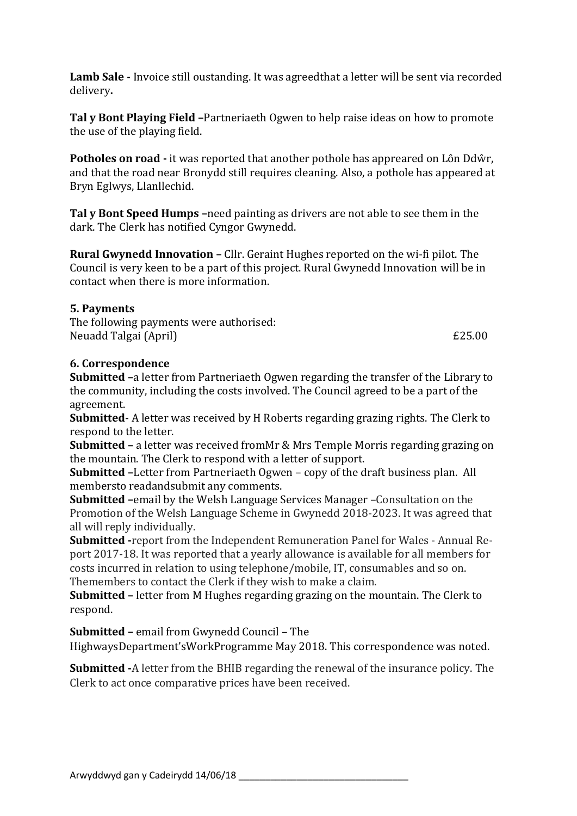**Lamb Sale -** Invoice still oustanding. It was agreedthat a letter will be sent via recorded delivery**.**

**Tal y Bont Playing Field –**Partneriaeth Ogwen to help raise ideas on how to promote the use of the playing field.

**Potholes on road -** it was reported that another pothole has appreared on Lôn Ddŵr, and that the road near Bronydd still requires cleaning. Also, a pothole has appeared at Bryn Eglwys, Llanllechid.

**Tal y Bont Speed Humps –**need painting as drivers are not able to see them in the dark. The Clerk has notified Cyngor Gwynedd.

**Rural Gwynedd Innovation –** Cllr. Geraint Hughes reported on the wi-fi pilot. The Council is very keen to be a part of this project. Rural Gwynedd Innovation will be in contact when there is more information.

# **5. Payments**

The following payments were authorised: Neuadd Talgai (April) £25.00

#### **6. Correspondence**

**Submitted –**a letter from Partneriaeth Ogwen regarding the transfer of the Library to the community, including the costs involved. The Council agreed to be a part of the agreement.

**Submitted**- A letter was received by H Roberts regarding grazing rights. The Clerk to respond to the letter.

**Submitted –** a letter was received fromMr & Mrs Temple Morris regarding grazing on the mountain. The Clerk to respond with a letter of support.

**Submitted –**Letter from Partneriaeth Ogwen – copy of the draft business plan. All membersto readandsubmit any comments.

**Submitted –**email by the Welsh Language Services Manager –Consultation on the Promotion of the Welsh Language Scheme in Gwynedd 2018-2023. It was agreed that all will reply individually.

**Submitted -**report from the Independent Remuneration Panel for Wales - Annual Report 2017-18. It was reported that a yearly allowance is available for all members for costs incurred in relation to using telephone/mobile, IT, consumables and so on. Themembers to contact the Clerk if they wish to make a claim.

**Submitted –** letter from M Hughes regarding grazing on the mountain. The Clerk to respond.

**Submitted –** email from Gwynedd Council – The

HighwaysDepartment'sWorkProgramme May 2018. This correspondence was noted.

**Submitted -**A letter from the BHIB regarding the renewal of the insurance policy. The Clerk to act once comparative prices have been received.